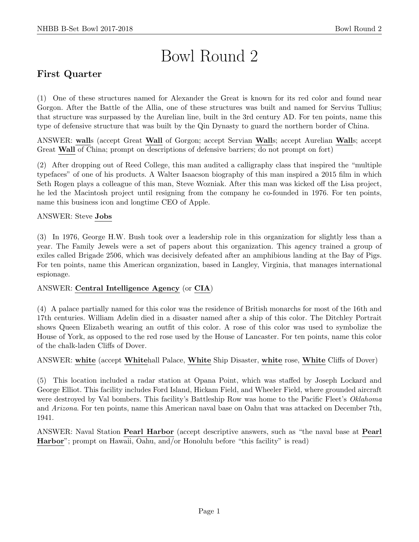# Bowl Round 2

# First Quarter

(1) One of these structures named for Alexander the Great is known for its red color and found near Gorgon. After the Battle of the Allia, one of these structures was built and named for Servius Tullius; that structure was surpassed by the Aurelian line, built in the 3rd century AD. For ten points, name this type of defensive structure that was built by the Qin Dynasty to guard the northern border of China.

ANSWER: walls (accept Great Wall of Gorgon; accept Servian Walls; accept Aurelian Walls; accept Great Wall of China; prompt on descriptions of defensive barriers; do not prompt on fort)

(2) After dropping out of Reed College, this man audited a calligraphy class that inspired the "multiple typefaces" of one of his products. A Walter Isaacson biography of this man inspired a 2015 film in which Seth Rogen plays a colleague of this man, Steve Wozniak. After this man was kicked off the Lisa project, he led the Macintosh project until resigning from the company he co-founded in 1976. For ten points, name this business icon and longtime CEO of Apple.

# ANSWER: Steve Jobs

(3) In 1976, George H.W. Bush took over a leadership role in this organization for slightly less than a year. The Family Jewels were a set of papers about this organization. This agency trained a group of exiles called Brigade 2506, which was decisively defeated after an amphibious landing at the Bay of Pigs. For ten points, name this American organization, based in Langley, Virginia, that manages international espionage.

#### ANSWER: Central Intelligence Agency (or CIA)

(4) A palace partially named for this color was the residence of British monarchs for most of the 16th and 17th centuries. William Adelin died in a disaster named after a ship of this color. The Ditchley Portrait shows Queen Elizabeth wearing an outfit of this color. A rose of this color was used to symbolize the House of York, as opposed to the red rose used by the House of Lancaster. For ten points, name this color of the chalk-laden Cliffs of Dover.

#### ANSWER: white (accept Whitehall Palace, White Ship Disaster, white rose, White Cliffs of Dover)

(5) This location included a radar station at Opana Point, which was staffed by Joseph Lockard and George Elliot. This facility includes Ford Island, Hickam Field, and Wheeler Field, where grounded aircraft were destroyed by Val bombers. This facility's Battleship Row was home to the Pacific Fleet's Oklahoma and Arizona. For ten points, name this American naval base on Oahu that was attacked on December 7th, 1941.

ANSWER: Naval Station Pearl Harbor (accept descriptive answers, such as "the naval base at Pearl Harbor"; prompt on Hawaii, Oahu, and/or Honolulu before "this facility" is read)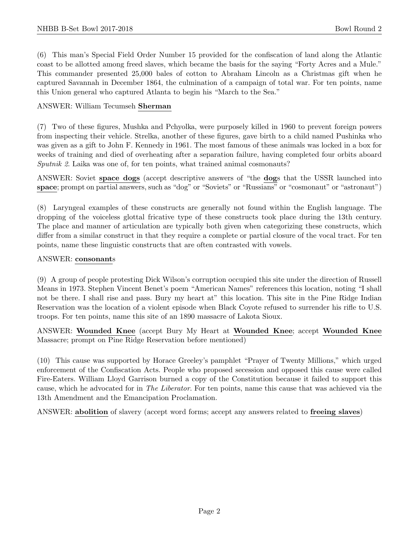(6) This man's Special Field Order Number 15 provided for the confiscation of land along the Atlantic coast to be allotted among freed slaves, which became the basis for the saying "Forty Acres and a Mule." This commander presented 25,000 bales of cotton to Abraham Lincoln as a Christmas gift when he captured Savannah in December 1864, the culmination of a campaign of total war. For ten points, name this Union general who captured Atlanta to begin his "March to the Sea."

#### ANSWER: William Tecumseh Sherman

(7) Two of these figures, Mushka and Pchyolka, were purposely killed in 1960 to prevent foreign powers from inspecting their vehicle. Strelka, another of these figures, gave birth to a child named Pushinka who was given as a gift to John F. Kennedy in 1961. The most famous of these animals was locked in a box for weeks of training and died of overheating after a separation failure, having completed four orbits aboard Sputnik 2. Laika was one of, for ten points, what trained animal cosmonauts?

ANSWER: Soviet space dogs (accept descriptive answers of "the dogs that the USSR launched into space; prompt on partial answers, such as "dog" or "Soviets" or "Russians" or "cosmonaut" or "astronaut")

(8) Laryngeal examples of these constructs are generally not found within the English language. The dropping of the voiceless glottal fricative type of these constructs took place during the 13th century. The place and manner of articulation are typically both given when categorizing these constructs, which differ from a similar construct in that they require a complete or partial closure of the vocal tract. For ten points, name these linguistic constructs that are often contrasted with vowels.

#### ANSWER: consonants

(9) A group of people protesting Dick Wilson's corruption occupied this site under the direction of Russell Means in 1973. Stephen Vincent Benet's poem "American Names" references this location, noting "I shall not be there. I shall rise and pass. Bury my heart at" this location. This site in the Pine Ridge Indian Reservation was the location of a violent episode when Black Coyote refused to surrender his rifle to U.S. troops. For ten points, name this site of an 1890 massacre of Lakota Sioux.

ANSWER: Wounded Knee (accept Bury My Heart at Wounded Knee; accept Wounded Knee Massacre; prompt on Pine Ridge Reservation before mentioned)

(10) This cause was supported by Horace Greeley's pamphlet "Prayer of Twenty Millions," which urged enforcement of the Confiscation Acts. People who proposed secession and opposed this cause were called Fire-Eaters. William Lloyd Garrison burned a copy of the Constitution because it failed to support this cause, which he advocated for in The Liberator. For ten points, name this cause that was achieved via the 13th Amendment and the Emancipation Proclamation.

ANSWER: abolition of slavery (accept word forms; accept any answers related to freeing slaves)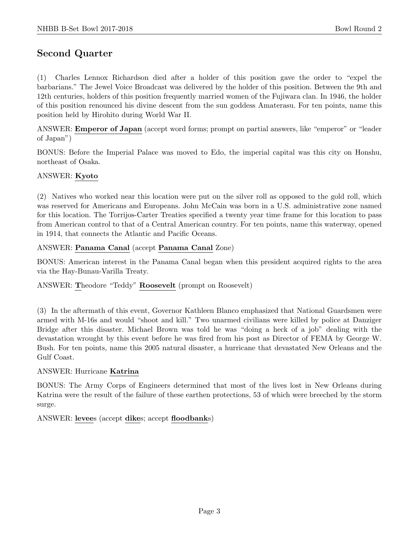# Second Quarter

(1) Charles Lennox Richardson died after a holder of this position gave the order to "expel the barbarians." The Jewel Voice Broadcast was delivered by the holder of this position. Between the 9th and 12th centuries, holders of this position frequently married women of the Fujiwara clan. In 1946, the holder of this position renounced his divine descent from the sun goddess Amaterasu. For ten points, name this position held by Hirohito during World War II.

ANSWER: Emperor of Japan (accept word forms; prompt on partial answers, like "emperor" or "leader of Japan")

BONUS: Before the Imperial Palace was moved to Edo, the imperial capital was this city on Honshu, northeast of Osaka.

#### ANSWER: Kyoto

(2) Natives who worked near this location were put on the silver roll as opposed to the gold roll, which was reserved for Americans and Europeans. John McCain was born in a U.S. administrative zone named for this location. The Torrijos-Carter Treaties specified a twenty year time frame for this location to pass from American control to that of a Central American country. For ten points, name this waterway, opened in 1914, that connects the Atlantic and Pacific Oceans.

#### ANSWER: Panama Canal (accept Panama Canal Zone)

BONUS: American interest in the Panama Canal began when this president acquired rights to the area via the Hay-Bunau-Varilla Treaty.

ANSWER: Theodore "Teddy" Roosevelt (prompt on Roosevelt)

(3) In the aftermath of this event, Governor Kathleen Blanco emphasized that National Guardsmen were armed with M-16s and would "shoot and kill." Two unarmed civilians were killed by police at Danziger Bridge after this disaster. Michael Brown was told he was "doing a heck of a job" dealing with the devastation wrought by this event before he was fired from his post as Director of FEMA by George W. Bush. For ten points, name this 2005 natural disaster, a hurricane that devastated New Orleans and the Gulf Coast.

#### ANSWER: Hurricane Katrina

BONUS: The Army Corps of Engineers determined that most of the lives lost in New Orleans during Katrina were the result of the failure of these earthen protections, 53 of which were breeched by the storm surge.

ANSWER: levees (accept dikes; accept floodbanks)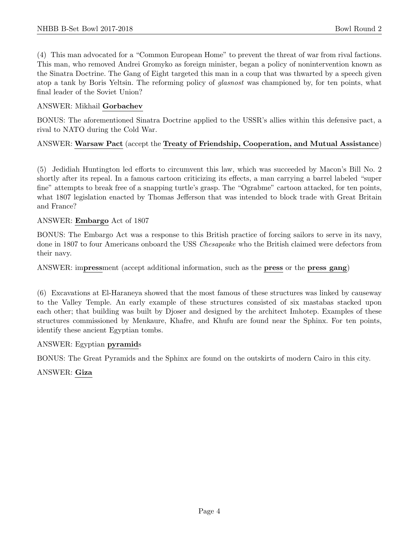(4) This man advocated for a "Common European Home" to prevent the threat of war from rival factions. This man, who removed Andrei Gromyko as foreign minister, began a policy of nonintervention known as the Sinatra Doctrine. The Gang of Eight targeted this man in a coup that was thwarted by a speech given atop a tank by Boris Yeltsin. The reforming policy of glasnost was championed by, for ten points, what final leader of the Soviet Union?

#### ANSWER: Mikhail Gorbachev

BONUS: The aforementioned Sinatra Doctrine applied to the USSR's allies within this defensive pact, a rival to NATO during the Cold War.

# ANSWER: Warsaw Pact (accept the Treaty of Friendship, Cooperation, and Mutual Assistance)

(5) Jedidiah Huntington led efforts to circumvent this law, which was succeeded by Macon's Bill No. 2 shortly after its repeal. In a famous cartoon criticizing its effects, a man carrying a barrel labeled "super fine" attempts to break free of a snapping turtle's grasp. The "Ograbme" cartoon attacked, for ten points, what 1807 legislation enacted by Thomas Jefferson that was intended to block trade with Great Britain and France?

#### ANSWER: Embargo Act of 1807

BONUS: The Embargo Act was a response to this British practice of forcing sailors to serve in its navy, done in 1807 to four Americans onboard the USS *Chesapeake* who the British claimed were defectors from their navy.

ANSWER: impressment (accept additional information, such as the press or the press gang)

(6) Excavations at El-Haraneya showed that the most famous of these structures was linked by causeway to the Valley Temple. An early example of these structures consisted of six mastabas stacked upon each other; that building was built by Djoser and designed by the architect Imhotep. Examples of these structures commissioned by Menkaure, Khafre, and Khufu are found near the Sphinx. For ten points, identify these ancient Egyptian tombs.

#### ANSWER: Egyptian pyramids

BONUS: The Great Pyramids and the Sphinx are found on the outskirts of modern Cairo in this city.

ANSWER: Giza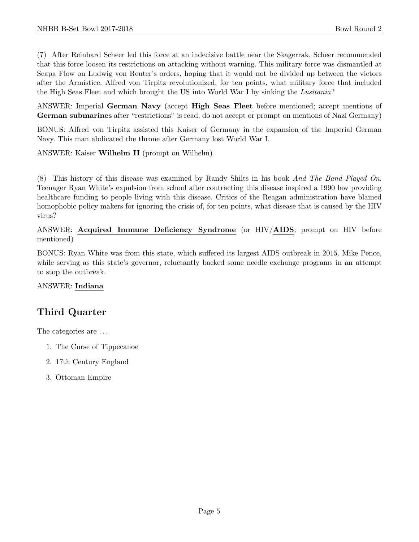(7) After Reinhard Scheer led this force at an indecisive battle near the Skagerrak, Scheer recommended that this force loosen its restrictions on attacking without warning. This military force was dismantled at Scapa Flow on Ludwig von Reuter's orders, hoping that it would not be divided up between the victors after the Armistice. Alfred von Tirpitz revolutionized, for ten points, what military force that included the High Seas Fleet and which brought the US into World War I by sinking the Lusitania?

ANSWER: Imperial German Navy (accept High Seas Fleet before mentioned; accept mentions of German submarines after "restrictions" is read; do not accept or prompt on mentions of Nazi Germany)

BONUS: Alfred von Tirpitz assisted this Kaiser of Germany in the expansion of the Imperial German Navy. This man abdicated the throne after Germany lost World War I.

ANSWER: Kaiser Wilhelm II (prompt on Wilhelm)

(8) This history of this disease was examined by Randy Shilts in his book And The Band Played On. Teenager Ryan White's expulsion from school after contracting this disease inspired a 1990 law providing healthcare funding to people living with this disease. Critics of the Reagan administration have blamed homophobic policy makers for ignoring the crisis of, for ten points, what disease that is caused by the HIV virus?

ANSWER: Acquired Immune Deficiency Syndrome (or HIV/AIDS; prompt on HIV before mentioned)

BONUS: Ryan White was from this state, which suffered its largest AIDS outbreak in 2015. Mike Pence, while serving as this state's governor, reluctantly backed some needle exchange programs in an attempt to stop the outbreak.

ANSWER: Indiana

# Third Quarter

The categories are . . .

- 1. The Curse of Tippecanoe
- 2. 17th Century England
- 3. Ottoman Empire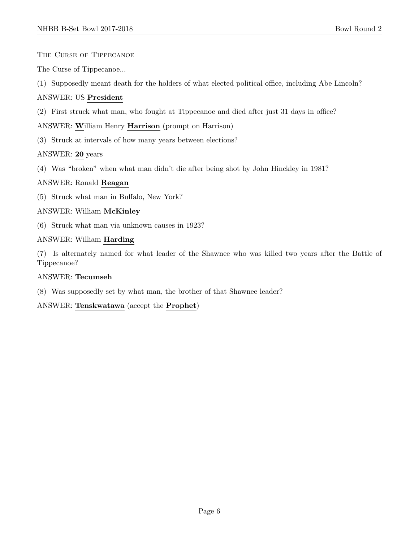The Curse of Tippecanoe

The Curse of Tippecanoe...

(1) Supposedly meant death for the holders of what elected political office, including Abe Lincoln?

# ANSWER: US President

(2) First struck what man, who fought at Tippecanoe and died after just 31 days in office?

# ANSWER: William Henry Harrison (prompt on Harrison)

(3) Struck at intervals of how many years between elections?

# ANSWER: 20 years

(4) Was "broken" when what man didn't die after being shot by John Hinckley in 1981?

#### ANSWER: Ronald Reagan

(5) Struck what man in Buffalo, New York?

#### ANSWER: William McKinley

(6) Struck what man via unknown causes in 1923?

#### ANSWER: William Harding

(7) Is alternately named for what leader of the Shawnee who was killed two years after the Battle of Tippecanoe?

#### ANSWER: Tecumseh

(8) Was supposedly set by what man, the brother of that Shawnee leader?

#### ANSWER: Tenskwatawa (accept the Prophet)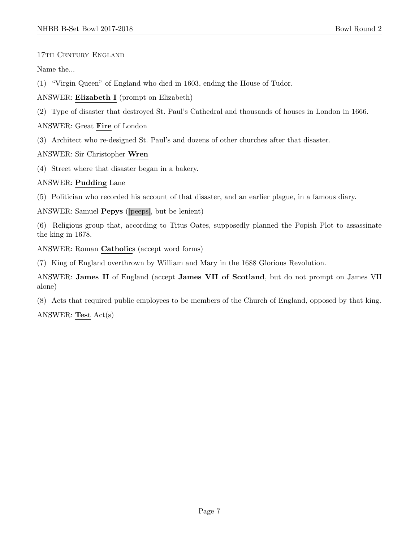17th Century England

Name the...

(1) "Virgin Queen" of England who died in 1603, ending the House of Tudor.

ANSWER: Elizabeth I (prompt on Elizabeth)

(2) Type of disaster that destroyed St. Paul's Cathedral and thousands of houses in London in 1666.

ANSWER: Great Fire of London

(3) Architect who re-designed St. Paul's and dozens of other churches after that disaster.

ANSWER: Sir Christopher Wren

(4) Street where that disaster began in a bakery.

# ANSWER: Pudding Lane

(5) Politician who recorded his account of that disaster, and an earlier plague, in a famous diary.

ANSWER: Samuel Pepys ([peeps], but be lenient)

(6) Religious group that, according to Titus Oates, supposedly planned the Popish Plot to assassinate the king in 1678.

ANSWER: Roman Catholics (accept word forms)

(7) King of England overthrown by William and Mary in the 1688 Glorious Revolution.

ANSWER: James II of England (accept James VII of Scotland, but do not prompt on James VII alone)

(8) Acts that required public employees to be members of the Church of England, opposed by that king.

ANSWER: Test Act(s)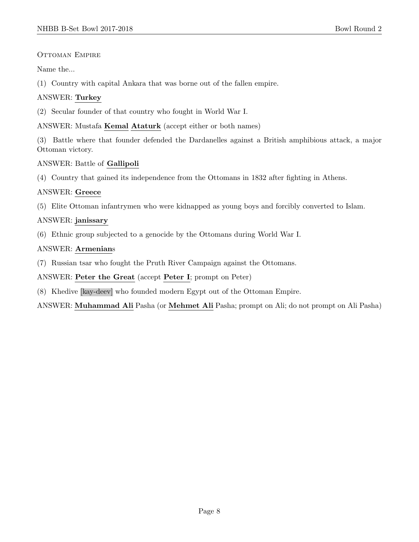OTTOMAN EMPIRE

Name the...

(1) Country with capital Ankara that was borne out of the fallen empire.

# ANSWER: Turkey

(2) Secular founder of that country who fought in World War I.

ANSWER: Mustafa Kemal Ataturk (accept either or both names)

(3) Battle where that founder defended the Dardanelles against a British amphibious attack, a major Ottoman victory.

# ANSWER: Battle of Gallipoli

(4) Country that gained its independence from the Ottomans in 1832 after fighting in Athens.

# ANSWER: Greece

(5) Elite Ottoman infantrymen who were kidnapped as young boys and forcibly converted to Islam.

# ANSWER: janissary

(6) Ethnic group subjected to a genocide by the Ottomans during World War I.

# ANSWER: Armenians

(7) Russian tsar who fought the Pruth River Campaign against the Ottomans.

ANSWER: Peter the Great (accept Peter I; prompt on Peter)

(8) Khedive [kay-deev] who founded modern Egypt out of the Ottoman Empire.

ANSWER: Muhammad Ali Pasha (or Mehmet Ali Pasha; prompt on Ali; do not prompt on Ali Pasha)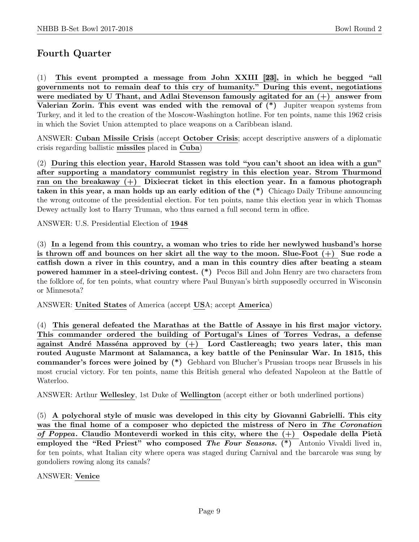# Fourth Quarter

(1) This event prompted a message from John XXIII [23], in which he begged "all governments not to remain deaf to this cry of humanity." During this event, negotiations were mediated by U Thant, and Adlai Stevenson famously agitated for an (+) answer from Valerian Zorin. This event was ended with the removal of  $(*)$  Jupiter weapon systems from Turkey, and it led to the creation of the Moscow-Washington hotline. For ten points, name this 1962 crisis in which the Soviet Union attempted to place weapons on a Caribbean island.

ANSWER: Cuban Missile Crisis (accept October Crisis; accept descriptive answers of a diplomatic crisis regarding ballistic missiles placed in Cuba)

(2) During this election year, Harold Stassen was told "you can't shoot an idea with a gun" after supporting a mandatory communist registry in this election year. Strom Thurmond ran on the breakaway  $(+)$  Dixiecrat ticket in this election year. In a famous photograph taken in this year, a man holds up an early edition of the (\*) Chicago Daily Tribune announcing the wrong outcome of the presidential election. For ten points, name this election year in which Thomas Dewey actually lost to Harry Truman, who thus earned a full second term in office.

ANSWER: U.S. Presidential Election of 1948

(3) In a legend from this country, a woman who tries to ride her newlywed husband's horse is thrown off and bounces on her skirt all the way to the moon. Slue-Foot  $(+)$  Sue rode a catfish down a river in this country, and a man in this country dies after beating a steam powered hammer in a steel-driving contest. (\*) Pecos Bill and John Henry are two characters from the folklore of, for ten points, what country where Paul Bunyan's birth supposedly occurred in Wisconsin or Minnesota?

ANSWER: United States of America (accept USA; accept America)

(4) This general defeated the Marathas at the Battle of Assaye in his first major victory. This commander ordered the building of Portugal's Lines of Torres Vedras, a defense against André Masséna approved by  $(+)$  Lord Castlereagh; two years later, this man routed Auguste Marmont at Salamanca, a key battle of the Peninsular War. In 1815, this commander's forces were joined by (\*) Gebhard von Blucher's Prussian troops near Brussels in his most crucial victory. For ten points, name this British general who defeated Napoleon at the Battle of Waterloo.

ANSWER: Arthur Wellesley, 1st Duke of Wellington (accept either or both underlined portions)

(5) A polychoral style of music was developed in this city by Giovanni Gabrielli. This city was the final home of a composer who depicted the mistress of Nero in The Coronation of Poppea. Claudio Monteverdi worked in this city, where the  $(+)$  Ospedale della Pietà employed the "Red Priest" who composed The Four Seasons. (\*) Antonio Vivaldi lived in, for ten points, what Italian city where opera was staged during Carnival and the barcarole was sung by gondoliers rowing along its canals?

ANSWER: Venice